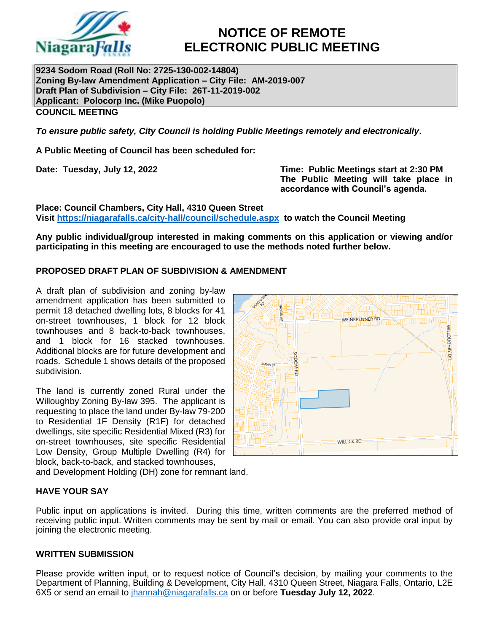

# **NOTICE OF REMOTE ELECTRONIC PUBLIC MEETING**

**9234 Sodom Road (Roll No: 2725-130-002-14804) Zoning By-law Amendment Application – City File: AM-2019-007 Draft Plan of Subdivision – City File: 26T-11-2019-002 Applicant: Polocorp Inc. (Mike Puopolo) COUNCIL MEETING**

*To ensure public safety, City Council is holding Public Meetings remotely and electronically***.**

**A Public Meeting of Council has been scheduled for:**

**Date: Tuesday, July 12, 2022 Time: Public Meetings start at 2:30 PM The Public Meeting will take place in accordance with Council's agenda.**

**Place: Council Chambers, City Hall, 4310 Queen Street Visit<https://niagarafalls.ca/city-hall/council/schedule.aspx> to watch the Council Meeting** 

**Any public individual/group interested in making comments on this application or viewing and/or participating in this meeting are encouraged to use the methods noted further below.**

## **PROPOSED DRAFT PLAN OF SUBDIVISION & AMENDMENT**

A draft plan of subdivision and zoning by-law amendment application has been submitted to permit 18 detached dwelling lots, 8 blocks for 41 on-street townhouses, 1 block for 12 block townhouses and 8 back-to-back townhouses, and 1 block for 16 stacked townhouses. Additional blocks are for future development and roads. Schedule 1 shows details of the proposed subdivision.

The land is currently zoned Rural under the Willoughby Zoning By-law 395. The applicant is requesting to place the land under By-law 79-200 to Residential 1F Density (R1F) for detached dwellings, site specific Residential Mixed (R3) for on-street townhouses, site specific Residential Low Density, Group Multiple Dwelling (R4) for block, back-to-back, and stacked townhouses,

and Development Holding (DH) zone for remnant land.

## **HAVE YOUR SAY**

Public input on applications is invited. During this time, written comments are the preferred method of receiving public input. Written comments may be sent by mail or email. You can also provide oral input by joining the electronic meeting.

## **WRITTEN SUBMISSION**

Please provide written input, or to request notice of Council's decision, by mailing your comments to the Department of Planning, Building & Development, City Hall, 4310 Queen Street, Niagara Falls, Ontario, L2E 6X5 or send an email to [jhannah@niagarafalls.ca](mailto:jhannah@niagarafalls.ca) on or before **Tuesday July 12, 2022**.

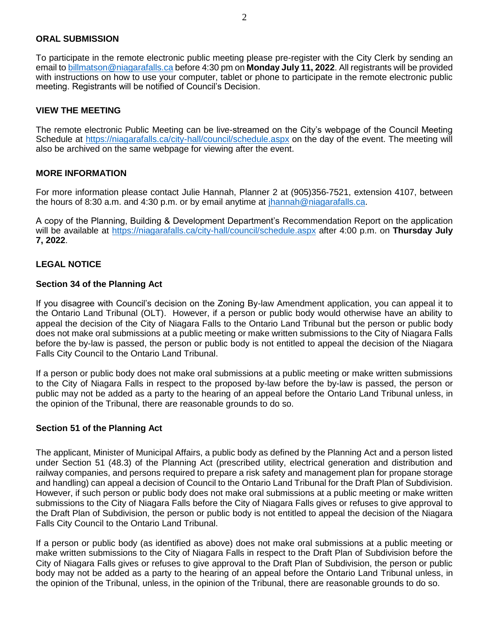#### **ORAL SUBMISSION**

To participate in the remote electronic public meeting please pre-register with the City Clerk by sending an email to [billmatson@niagarafalls.ca](mailto:billmatson@niagarafalls.ca) before 4:30 pm on **Monday July 11, 2022**. All registrants will be provided with instructions on how to use your computer, tablet or phone to participate in the remote electronic public meeting. Registrants will be notified of Council's Decision.

#### **VIEW THE MEETING**

The remote electronic Public Meeting can be live-streamed on the City's webpage of the Council Meeting Schedule at<https://niagarafalls.ca/city-hall/council/schedule.aspx> on the day of the event. The meeting will also be archived on the same webpage for viewing after the event.

#### **MORE INFORMATION**

For more information please contact Julie Hannah, Planner 2 at (905)356-7521, extension 4107, between the hours of 8:30 a.m. and 4:30 p.m. or by email anytime at [jhannah@niagarafalls.ca.](mailto:jhannah@niagarafalls.ca)

A copy of the Planning, Building & Development Department's Recommendation Report on the application will be available at<https://niagarafalls.ca/city-hall/council/schedule.aspx> after 4:00 p.m. on **Thursday July 7, 2022**.

#### **LEGAL NOTICE**

#### **Section 34 of the Planning Act**

If you disagree with Council's decision on the Zoning By-law Amendment application, you can appeal it to the Ontario Land Tribunal (OLT). However, if a person or public body would otherwise have an ability to appeal the decision of the City of Niagara Falls to the Ontario Land Tribunal but the person or public body does not make oral submissions at a public meeting or make written submissions to the City of Niagara Falls before the by-law is passed, the person or public body is not entitled to appeal the decision of the Niagara Falls City Council to the Ontario Land Tribunal.

If a person or public body does not make oral submissions at a public meeting or make written submissions to the City of Niagara Falls in respect to the proposed by-law before the by-law is passed, the person or public may not be added as a party to the hearing of an appeal before the Ontario Land Tribunal unless, in the opinion of the Tribunal, there are reasonable grounds to do so.

#### **Section 51 of the Planning Act**

The applicant, Minister of Municipal Affairs, a public body as defined by the Planning Act and a person listed under Section 51 (48.3) of the Planning Act (prescribed utility, electrical generation and distribution and railway companies, and persons required to prepare a risk safety and management plan for propane storage and handling) can appeal a decision of Council to the Ontario Land Tribunal for the Draft Plan of Subdivision. However, if such person or public body does not make oral submissions at a public meeting or make written submissions to the City of Niagara Falls before the City of Niagara Falls gives or refuses to give approval to the Draft Plan of Subdivision, the person or public body is not entitled to appeal the decision of the Niagara Falls City Council to the Ontario Land Tribunal.

If a person or public body (as identified as above) does not make oral submissions at a public meeting or make written submissions to the City of Niagara Falls in respect to the Draft Plan of Subdivision before the City of Niagara Falls gives or refuses to give approval to the Draft Plan of Subdivision, the person or public body may not be added as a party to the hearing of an appeal before the Ontario Land Tribunal unless, in the opinion of the Tribunal, unless, in the opinion of the Tribunal, there are reasonable grounds to do so.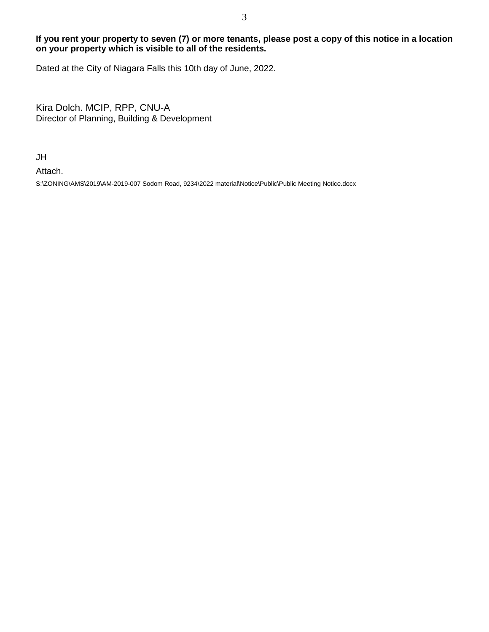## **If you rent your property to seven (7) or more tenants, please post a copy of this notice in a location on your property which is visible to all of the residents.**

Dated at the City of Niagara Falls this 10th day of June, 2022.

Kira Dolch. MCIP, RPP, CNU-A Director of Planning, Building & Development

JH

Attach.

S:\ZONING\AMS\2019\AM-2019-007 Sodom Road, 9234\2022 material\Notice\Public\Public Meeting Notice.docx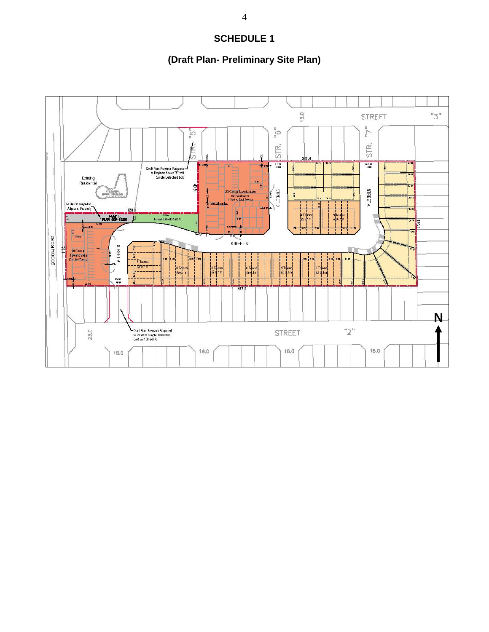# **SCHEDULE 1**

# **(Draft Plan- Preliminary Site Plan)**